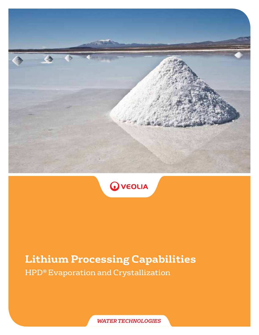



# **Lithium Processing Capabilities**

HPD® Evaporation and Crystallization

*WATER TECHNOLOGIES*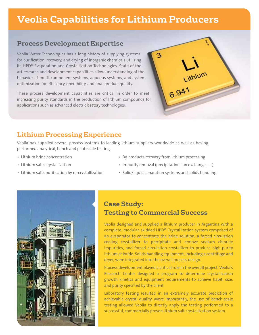# **Veolia Capabilities for Lithium Producers**

#### **Process Development Expertise**

Veolia Water Technologies has a long history of supplying systems for purification, recovery, and drying of inorganic chemicals utilizing its HPD® Evaporation and Crystallization Technologies. State-of-theart research and development capabilities allow understanding of the behavior of multi-component systems, aqueous systems, and system optimization for efficiency, operability, and final product quality.

These process development capabilities are critical in order to meet increasing purity standards in the production of lithium compounds for applications such as advanced electric battery technologies.

## **Lithium Processing Experience**

Veolia has supplied several process systems to leading lithium suppliers worldwide as well as having performed analytical, bench and pilot-scale testing.

- Lithium brine concentration
- Lithium salts crystallization
- Lithium salts purification by re-crystallization
- By-products recovery from lithium processing

ዔ

Eithium

- Impurity removal (precipitation, ion exchange, . . .)
- Solid/liquid separation systems and solids handling



## **Case Study: Testing to Commercial Success**

Veolia designed and supplied a lithium producer in Argentina with a complete, modular, skidded HPD® Crystallization system comprised of an evaporator to concentrate the brine solution, a forced circulation cooling crystallizer to precipitate and remove sodium chloride impurities, and forced circulation crystallizer to produce high-purity lithium chloride. Solids handling equipment, including a centrifuge and dryer, were integrated into the overall process design.

Process development played a critical role in the overall project. Veolia's Research Center designed a program to determine crystallization growth kinetics and equipment requirements to achieve habit, size, and purity specified by the client.

Laboratory testing resulted in an extremely accurate prediction of achievable crystal quality. More importantly, the use of bench-scale testing allowed Veolia to directly apply the testing performed to a successful, commercially proven lithium salt crystallization system.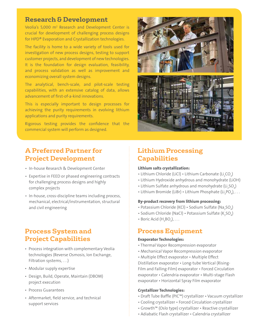#### **Research & Development**

Veolia's 5,000 m<sup>2</sup> Research and Development Center is crucial for development of challenging process designs for HPD® Evaporation and Crystallization technologies.

The facility is home to a wide variety of tools used for investigation of new process designs, testing to support customer projects, and development of new technologies. It is the foundation for design evaluation, feasibility, and process validation as well as improvement and economizing overall system designs.

The analytical, bench-scale, and pilot-scale testing capabilities, with an extensive catalog of data, allows advancement of first-of-a-kind innovations.

This is especially important to design processes for achieving the purity requirements in evolving lithium applications and purity requirements.

Rigorous testing provides the confidence that the commercial system will perform as designed.



## **A Preferred Partner for Project Development**

- In-house Research & Development Center
- Expertise in FEED or phased engineering contracts for challenging process designs and highly complex projects
- In-house, cross-discipline teams including process, mechanical, electrical/instrumentation, structural and civil engineering

## Process System and Process Equipment **Project Capabilities**

- Process integration with complementary Veolia technologies (Reverse Osmosis, Ion Exchange, Filtration systems, . . .)
- Modular supply expertise
- Design, Build, Operate, Maintain (DBOM) project execution
- Process Guarantees
- Aftermarket, field service, and technical support services

## **Lithium Processing Capabilities**

#### **Lithium salts crystallization:**

- Lithium Chloride (LiCl) Lithium Carbonate (Li $_{2}$ CO $_{3}$ )
- Lithium Hydroxide anhydrous and monohydrate (LiOH)
- $\bullet$  Lithium Sulfate anhydrous and monohydrate (Li $_{2}$ SO $_{4})$
- Lithium Bromide (LiBr) Lithium Phosphate (Li $_{\tiny 3}$ PO $_{\tiny 4}$ ),  $\ldots$

#### **By-product recovery from lithium processing:**

- Potassium Chloride (KCl) Sodium Sulfate (Na<sub>2</sub>SO<sub>4</sub>)
- $\bullet$  Sodium Chloride (NaCl)  $\bullet$  Potassium Sulfate (K<sub>2</sub>SO<sub>4</sub>)
- Boric Acid  $(H_3BO_3), \ldots$

#### **Evaporator Technologies:**

- Thermal Vapor Recompression evaporator
- Mechanical Vapor Recompression evaporator
- Multiple Effect evaporator Multiple Effect

Distillation evaporator • Long-tube Vertical (Rising-Film and Falling-Film) evaporator • Forced Circulation evaporator • Calendria evaporator • Multi-stage Flash evaporator • Horizontal Spray Film evaporator

#### **Crystallizer Technologies:**

- Draft Tube Baffle (PIC™) crystallizer Vacuum crystallizer
- Cooling crystallizer Forced Circulation crystallizer
- Growth™ (Oslo type) crystallizer Reactive crystallizer
- Adiabatic Flash crystallizer Calendria crystallizer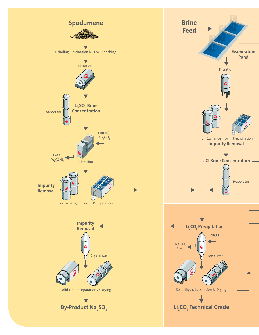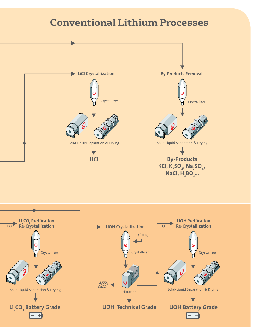# **Conventional Lithium Processes**



Filtration

**LiOH Technical Grade**

Solid-Liquid Separation & Drying Solid-Liquid Separation & Drying Solid-Liquid Separation & Drying

 $\mathsf{Li}_2$ **CO<sub>3</sub>** Battery Grade

- +1

**LiOH Battery Grade** — +)